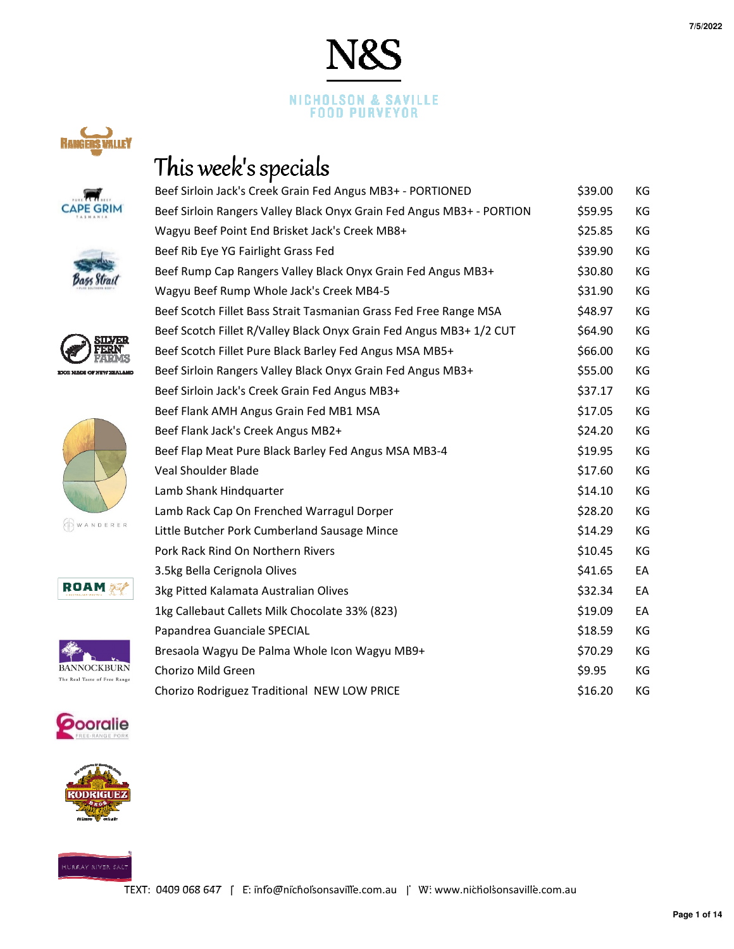## This week's specials

| Beef Sirloin Jack's Creek Grain Fed Angus MB3+ - PORTIONED            | \$39.00 | КG |
|-----------------------------------------------------------------------|---------|----|
| Beef Sirloin Rangers Valley Black Onyx Grain Fed Angus MB3+ - PORTION | \$59.95 | KG |
| Wagyu Beef Point End Brisket Jack's Creek MB8+                        | \$25.85 | KG |
| Beef Rib Eye YG Fairlight Grass Fed                                   | \$39.90 | KG |
| Beef Rump Cap Rangers Valley Black Onyx Grain Fed Angus MB3+          | \$30.80 | KG |
| Wagyu Beef Rump Whole Jack's Creek MB4-5                              | \$31.90 | KG |
| Beef Scotch Fillet Bass Strait Tasmanian Grass Fed Free Range MSA     | \$48.97 | KG |
| Beef Scotch Fillet R/Valley Black Onyx Grain Fed Angus MB3+ 1/2 CUT   | \$64.90 | KG |
| Beef Scotch Fillet Pure Black Barley Fed Angus MSA MB5+               | \$66.00 | KG |
| Beef Sirloin Rangers Valley Black Onyx Grain Fed Angus MB3+           | \$55.00 | KG |
| Beef Sirloin Jack's Creek Grain Fed Angus MB3+                        | \$37.17 | KG |
| Beef Flank AMH Angus Grain Fed MB1 MSA                                | \$17.05 | KG |
| Beef Flank Jack's Creek Angus MB2+                                    | \$24.20 | КG |
| Beef Flap Meat Pure Black Barley Fed Angus MSA MB3-4                  | \$19.95 | KG |
| <b>Veal Shoulder Blade</b>                                            | \$17.60 | KG |
| Lamb Shank Hindquarter                                                | \$14.10 | KG |
| Lamb Rack Cap On Frenched Warragul Dorper                             | \$28.20 | KG |
| Little Butcher Pork Cumberland Sausage Mince                          | \$14.29 | KG |
| Pork Rack Rind On Northern Rivers                                     | \$10.45 | KG |
| 3.5kg Bella Cerignola Olives                                          | \$41.65 | EA |
| 3kg Pitted Kalamata Australian Olives                                 | \$32.34 | EA |
| 1kg Callebaut Callets Milk Chocolate 33% (823)                        | \$19.09 | EA |
| Papandrea Guanciale SPECIAL                                           | \$18.59 | KG |
| Bresaola Wagyu De Palma Whole Icon Wagyu MB9+                         | \$70.29 | KG |
| Chorizo Mild Green                                                    | \$9.95  | KG |

JRS

NICHOLSON & SAVILLE **FOOD PURVEYOR** 

Chorizo Rodriguez Traditional NEW LOW PRICE  $$16.20$  KG



**RANGERS VALLEY** 















HURRAY RIVER SALT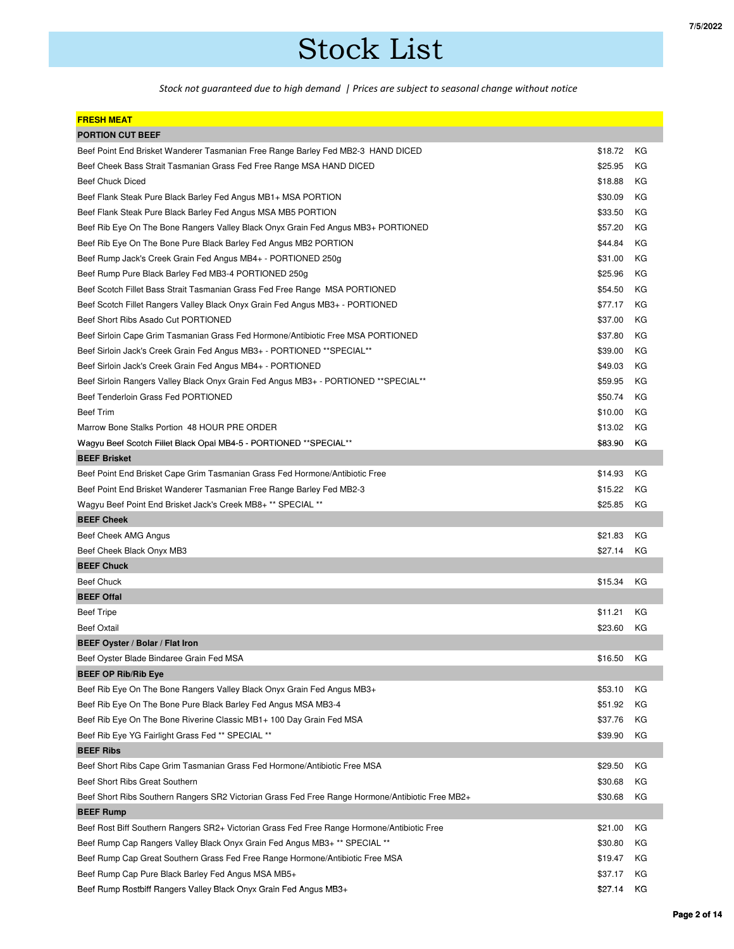## Stock List

*Stock not guaranteed due to high demand | Prices are subject to seasonal change without notice*

| <b>FRESH MEAT</b>                                                                                |         |    |
|--------------------------------------------------------------------------------------------------|---------|----|
| <b>PORTION CUT BEEF</b>                                                                          |         |    |
| Beef Point End Brisket Wanderer Tasmanian Free Range Barley Fed MB2-3 HAND DICED                 | \$18.72 | КG |
| Beef Cheek Bass Strait Tasmanian Grass Fed Free Range MSA HAND DICED                             | \$25.95 | КG |
| <b>Beef Chuck Diced</b>                                                                          | \$18.88 | КG |
| Beef Flank Steak Pure Black Barley Fed Angus MB1+ MSA PORTION                                    | \$30.09 | КG |
| Beef Flank Steak Pure Black Barley Fed Angus MSA MB5 PORTION                                     | \$33.50 | КG |
| Beef Rib Eye On The Bone Rangers Valley Black Onyx Grain Fed Angus MB3+ PORTIONED                | \$57.20 | КG |
| Beef Rib Eye On The Bone Pure Black Barley Fed Angus MB2 PORTION                                 | \$44.84 | ΚG |
| Beef Rump Jack's Creek Grain Fed Angus MB4+ - PORTIONED 250g                                     | \$31.00 | КG |
| Beef Rump Pure Black Barley Fed MB3-4 PORTIONED 250g                                             | \$25.96 | КG |
| Beef Scotch Fillet Bass Strait Tasmanian Grass Fed Free Range MSA PORTIONED                      | \$54.50 | КG |
| Beef Scotch Fillet Rangers Valley Black Onyx Grain Fed Angus MB3+ - PORTIONED                    | \$77.17 | КG |
| Beef Short Ribs Asado Cut PORTIONED                                                              | \$37.00 | КG |
| Beef Sirloin Cape Grim Tasmanian Grass Fed Hormone/Antibiotic Free MSA PORTIONED                 | \$37.80 | КG |
| Beef Sirloin Jack's Creek Grain Fed Angus MB3+ - PORTIONED ** SPECIAL**                          | \$39.00 | КG |
| Beef Sirloin Jack's Creek Grain Fed Angus MB4+ - PORTIONED                                       | \$49.03 | КG |
| Beef Sirloin Rangers Valley Black Onyx Grain Fed Angus MB3+ - PORTIONED ** SPECIAL**             | \$59.95 | КG |
| Beef Tenderloin Grass Fed PORTIONED                                                              | \$50.74 | КG |
| <b>Beef Trim</b>                                                                                 | \$10.00 | КG |
| Marrow Bone Stalks Portion 48 HOUR PRE ORDER                                                     | \$13.02 | КG |
| Wagyu Beef Scotch Fillet Black Opal MB4-5 - PORTIONED ** SPECIAL**                               | \$83.90 | ΚG |
| <b>BEEF Brisket</b>                                                                              |         |    |
| Beef Point End Brisket Cape Grim Tasmanian Grass Fed Hormone/Antibiotic Free                     | \$14.93 | КG |
| Beef Point End Brisket Wanderer Tasmanian Free Range Barley Fed MB2-3                            | \$15.22 | КG |
| Wagyu Beef Point End Brisket Jack's Creek MB8+ ** SPECIAL **                                     | \$25.85 | КG |
| <b>BEEF Cheek</b>                                                                                |         |    |
| Beef Cheek AMG Angus                                                                             | \$21.83 | КG |
| Beef Cheek Black Onyx MB3                                                                        | \$27.14 | КG |
| <b>BEEF Chuck</b>                                                                                |         |    |
| <b>Beef Chuck</b>                                                                                | \$15.34 | КG |
| <b>BEEF Offal</b>                                                                                |         |    |
| <b>Beef Tripe</b>                                                                                | \$11.21 | КG |
| <b>Beef Oxtail</b>                                                                               | \$23.60 | КG |
| BEEF Oyster / Bolar / Flat Iron                                                                  |         |    |
| Beef Oyster Blade Bindaree Grain Fed MSA                                                         | \$16.50 | КG |
| <b>BEEF OP Rib/Rib Eye</b>                                                                       |         |    |
| Beef Rib Eye On The Bone Rangers Valley Black Onyx Grain Fed Angus MB3+                          | \$53.10 | КG |
| Beef Rib Eye On The Bone Pure Black Barley Fed Angus MSA MB3-4                                   | \$51.92 | ΚG |
| Beef Rib Eye On The Bone Riverine Classic MB1+ 100 Day Grain Fed MSA                             | \$37.76 | КG |
| Beef Rib Eye YG Fairlight Grass Fed ** SPECIAL **                                                | \$39.90 | КG |
| <b>BEEF Ribs</b>                                                                                 |         |    |
| Beef Short Ribs Cape Grim Tasmanian Grass Fed Hormone/Antibiotic Free MSA                        | \$29.50 | КG |
| Beef Short Ribs Great Southern                                                                   | \$30.68 | ΚG |
| Beef Short Ribs Southern Rangers SR2 Victorian Grass Fed Free Range Hormone/Antibiotic Free MB2+ | \$30.68 | ΚG |
| <b>BEEF Rump</b>                                                                                 |         |    |
| Beef Rost Biff Southern Rangers SR2+ Victorian Grass Fed Free Range Hormone/Antibiotic Free      | \$21.00 | КG |
| Beef Rump Cap Rangers Valley Black Onyx Grain Fed Angus MB3+ ** SPECIAL **                       | \$30.80 | КG |
| Beef Rump Cap Great Southern Grass Fed Free Range Hormone/Antibiotic Free MSA                    | \$19.47 | КG |
| Beef Rump Cap Pure Black Barley Fed Angus MSA MB5+                                               | \$37.17 | ΚG |
| Beef Rump Rostbiff Rangers Valley Black Onyx Grain Fed Angus MB3+                                | \$27.14 | ΚG |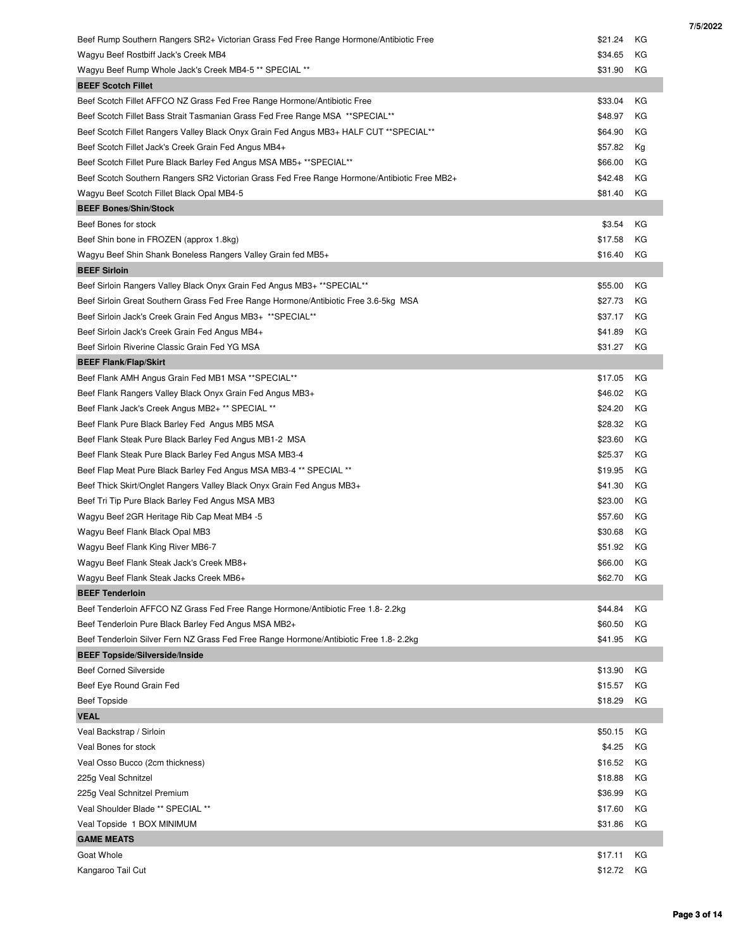| Beef Rump Southern Rangers SR2+ Victorian Grass Fed Free Range Hormone/Antibiotic Free       | \$21.24 | КG |
|----------------------------------------------------------------------------------------------|---------|----|
| Wagyu Beef Rostbiff Jack's Creek MB4                                                         | \$34.65 | КG |
| Wagyu Beef Rump Whole Jack's Creek MB4-5 ** SPECIAL **                                       | \$31.90 | КG |
| <b>BEEF Scotch Fillet</b>                                                                    |         |    |
| Beef Scotch Fillet AFFCO NZ Grass Fed Free Range Hormone/Antibiotic Free                     | \$33.04 | КG |
| Beef Scotch Fillet Bass Strait Tasmanian Grass Fed Free Range MSA ** SPECIAL**               | \$48.97 | КG |
| Beef Scotch Fillet Rangers Valley Black Onyx Grain Fed Angus MB3+ HALF CUT **SPECIAL**       | \$64.90 | ΚG |
| Beef Scotch Fillet Jack's Creek Grain Fed Angus MB4+                                         | \$57.82 | Кg |
| Beef Scotch Fillet Pure Black Barley Fed Angus MSA MB5+ ** SPECIAL**                         | \$66.00 | ΚG |
| Beef Scotch Southern Rangers SR2 Victorian Grass Fed Free Range Hormone/Antibiotic Free MB2+ | \$42.48 | КG |
| Wagyu Beef Scotch Fillet Black Opal MB4-5                                                    | \$81.40 | КG |
| <b>BEEF Bones/Shin/Stock</b>                                                                 |         |    |
| Beef Bones for stock                                                                         | \$3.54  | КG |
| Beef Shin bone in FROZEN (approx 1.8kg)                                                      | \$17.58 | КG |
| Wagyu Beef Shin Shank Boneless Rangers Valley Grain fed MB5+                                 | \$16.40 | КG |
| <b>BEEF Sirloin</b>                                                                          |         |    |
| Beef Sirloin Rangers Valley Black Onyx Grain Fed Angus MB3+ ** SPECIAL**                     | \$55.00 | КG |
| Beef Sirloin Great Southern Grass Fed Free Range Hormone/Antibiotic Free 3.6-5kg MSA         | \$27.73 | КG |
| Beef Sirloin Jack's Creek Grain Fed Angus MB3+ **SPECIAL**                                   | \$37.17 | КG |
| Beef Sirloin Jack's Creek Grain Fed Angus MB4+                                               | \$41.89 | КG |
| Beef Sirloin Riverine Classic Grain Fed YG MSA                                               | \$31.27 | ΚG |
| <b>BEEF Flank/Flap/Skirt</b>                                                                 |         |    |
| Beef Flank AMH Angus Grain Fed MB1 MSA ** SPECIAL**                                          | \$17.05 | КG |
| Beef Flank Rangers Valley Black Onyx Grain Fed Angus MB3+                                    | \$46.02 | ΚG |
| Beef Flank Jack's Creek Angus MB2+ ** SPECIAL **                                             | \$24.20 | ΚG |
| Beef Flank Pure Black Barley Fed Angus MB5 MSA                                               | \$28.32 | КG |
|                                                                                              | \$23.60 | КG |
| Beef Flank Steak Pure Black Barley Fed Angus MB1-2 MSA                                       | \$25.37 |    |
| Beef Flank Steak Pure Black Barley Fed Angus MSA MB3-4                                       |         | КG |
| Beef Flap Meat Pure Black Barley Fed Angus MSA MB3-4 ** SPECIAL **                           | \$19.95 | КG |
| Beef Thick Skirt/Onglet Rangers Valley Black Onyx Grain Fed Angus MB3+                       | \$41.30 | КG |
| Beef Tri Tip Pure Black Barley Fed Angus MSA MB3                                             | \$23.00 | ΚG |
| Wagyu Beef 2GR Heritage Rib Cap Meat MB4 -5                                                  | \$57.60 | КG |
| Wagyu Beef Flank Black Opal MB3                                                              | \$30.68 | КG |
| Wagyu Beef Flank King River MB6-7                                                            | \$51.92 | КG |
| Wagyu Beef Flank Steak Jack's Creek MB8+                                                     | \$66.00 | КG |
| Wagyu Beef Flank Steak Jacks Creek MB6+                                                      | \$62.70 | КG |
| <b>BEEF Tenderloin</b>                                                                       |         |    |
| Beef Tenderloin AFFCO NZ Grass Fed Free Range Hormone/Antibiotic Free 1.8- 2.2kg             | \$44.84 | КG |
| Beef Tenderloin Pure Black Barley Fed Angus MSA MB2+                                         | \$60.50 | КG |
| Beef Tenderloin Silver Fern NZ Grass Fed Free Range Hormone/Antibiotic Free 1.8- 2.2kg       | \$41.95 | КG |
| <b>BEEF Topside/Silverside/Inside</b>                                                        |         |    |
| <b>Beef Corned Silverside</b>                                                                | \$13.90 | КG |
| Beef Eye Round Grain Fed                                                                     | \$15.57 | КG |
| <b>Beef Topside</b>                                                                          | \$18.29 | КG |
| <b>VEAL</b>                                                                                  |         |    |
| Veal Backstrap / Sirloin                                                                     | \$50.15 | КG |
| Veal Bones for stock                                                                         | \$4.25  | КG |
| Veal Osso Bucco (2cm thickness)                                                              | \$16.52 | КG |
| 225g Veal Schnitzel                                                                          | \$18.88 | ΚG |
| 225g Veal Schnitzel Premium                                                                  | \$36.99 | КG |
| Veal Shoulder Blade ** SPECIAL **                                                            | \$17.60 | КG |
| Veal Topside 1 BOX MINIMUM                                                                   | \$31.86 | КG |
| <b>GAME MEATS</b>                                                                            |         |    |
| Goat Whole                                                                                   | \$17.11 | КG |
| Kangaroo Tail Cut                                                                            | \$12.72 | ΚG |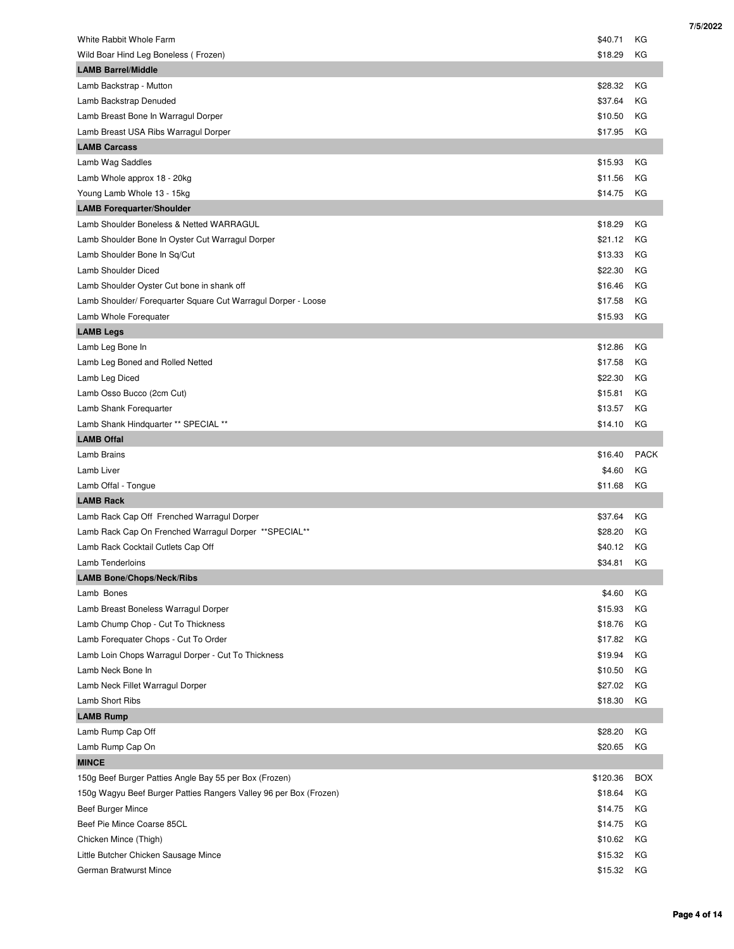| White Rabbit Whole Farm                                           | \$40.71  | КG          |
|-------------------------------------------------------------------|----------|-------------|
| Wild Boar Hind Leg Boneless (Frozen)                              | \$18.29  | КG          |
| <b>LAMB Barrel/Middle</b>                                         |          |             |
| Lamb Backstrap - Mutton                                           | \$28.32  | КG          |
| Lamb Backstrap Denuded                                            | \$37.64  | КG          |
| Lamb Breast Bone In Warragul Dorper                               | \$10.50  | KG          |
| Lamb Breast USA Ribs Warragul Dorper                              | \$17.95  | КG          |
| <b>LAMB Carcass</b>                                               |          |             |
| Lamb Wag Saddles                                                  | \$15.93  | КG          |
| Lamb Whole approx 18 - 20kg                                       | \$11.56  | КG          |
| Young Lamb Whole 13 - 15kg                                        | \$14.75  | КG          |
| <b>LAMB Forequarter/Shoulder</b>                                  |          |             |
| Lamb Shoulder Boneless & Netted WARRAGUL                          | \$18.29  | KG          |
| Lamb Shoulder Bone In Oyster Cut Warragul Dorper                  | \$21.12  | КG          |
| Lamb Shoulder Bone In Sq/Cut                                      | \$13.33  | KG          |
| Lamb Shoulder Diced                                               | \$22.30  | КG          |
| Lamb Shoulder Oyster Cut bone in shank off                        | \$16.46  | КG          |
| Lamb Shoulder/ Forequarter Square Cut Warragul Dorper - Loose     | \$17.58  | КG          |
| Lamb Whole Forequater                                             | \$15.93  | КG          |
| <b>LAMB Legs</b>                                                  |          |             |
| Lamb Leg Bone In                                                  | \$12.86  | КG          |
| Lamb Leg Boned and Rolled Netted                                  | \$17.58  | KG          |
| Lamb Leg Diced                                                    | \$22.30  | КG          |
| Lamb Osso Bucco (2cm Cut)                                         | \$15.81  | КG          |
| Lamb Shank Forequarter                                            | \$13.57  | КG          |
| Lamb Shank Hindquarter ** SPECIAL **                              | \$14.10  | КG          |
| <b>LAMB Offal</b>                                                 |          |             |
| Lamb Brains                                                       | \$16.40  | <b>PACK</b> |
| Lamb Liver                                                        | \$4.60   | KG          |
| Lamb Offal - Tongue                                               | \$11.68  | КG          |
| <b>LAMB Rack</b>                                                  |          |             |
| Lamb Rack Cap Off Frenched Warragul Dorper                        | \$37.64  | КG          |
| Lamb Rack Cap On Frenched Warragul Dorper ** SPECIAL**            | \$28.20  | КG          |
| Lamb Rack Cocktail Cutlets Cap Off                                | \$40.12  | КG          |
| Lamb Tenderloins                                                  | \$34.81  | KG          |
| <b>LAMB Bone/Chops/Neck/Ribs</b>                                  |          |             |
| Lamb Bones                                                        | \$4.60   | КG          |
| Lamb Breast Boneless Warragul Dorper                              | \$15.93  | КG          |
| Lamb Chump Chop - Cut To Thickness                                | \$18.76  | КG          |
| Lamb Forequater Chops - Cut To Order                              | \$17.82  | КG          |
| Lamb Loin Chops Warragul Dorper - Cut To Thickness                | \$19.94  | КG          |
| Lamb Neck Bone In                                                 | \$10.50  | ΚG          |
| Lamb Neck Fillet Warragul Dorper                                  | \$27.02  | ΚG          |
| Lamb Short Ribs                                                   | \$18.30  | КG          |
| <b>LAMB Rump</b>                                                  |          |             |
| Lamb Rump Cap Off                                                 | \$28.20  | КG          |
| Lamb Rump Cap On                                                  | \$20.65  | КG          |
| <b>MINCE</b>                                                      |          |             |
| 150g Beef Burger Patties Angle Bay 55 per Box (Frozen)            | \$120.36 | <b>BOX</b>  |
| 150g Wagyu Beef Burger Patties Rangers Valley 96 per Box (Frozen) | \$18.64  | КG          |
| Beef Burger Mince                                                 | \$14.75  | КG          |
| Beef Pie Mince Coarse 85CL                                        | \$14.75  | КG          |
| Chicken Mince (Thigh)                                             | \$10.62  | ΚG          |
| Little Butcher Chicken Sausage Mince                              | \$15.32  | ΚG          |
|                                                                   |          |             |
| German Bratwurst Mince                                            | \$15.32  | ΚG          |

 **Page 4 of 14**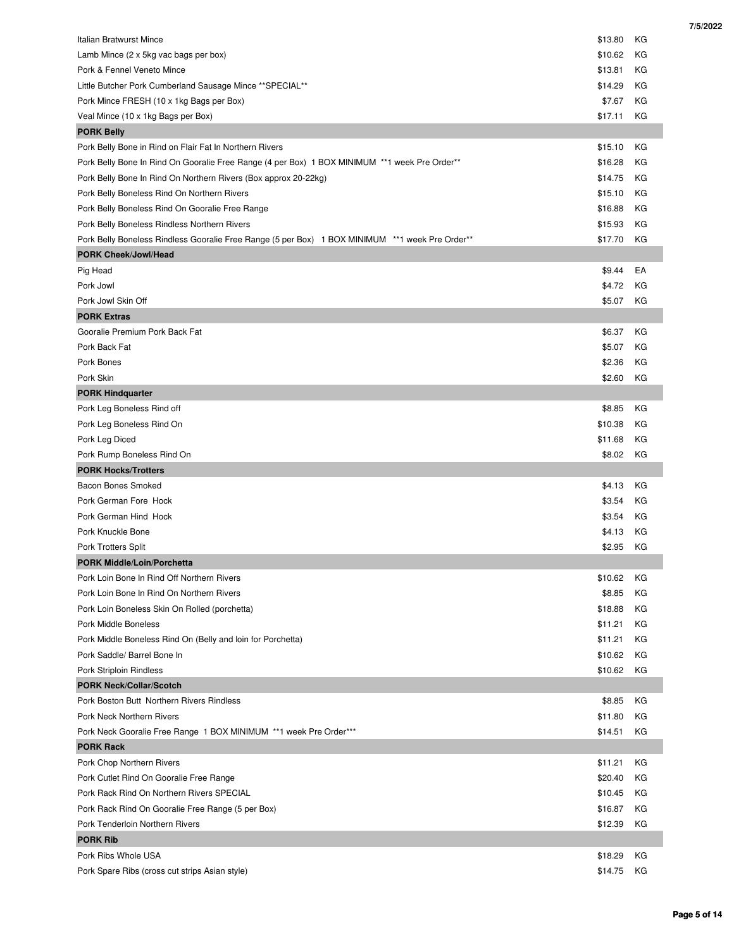| <b>Italian Bratwurst Mince</b>                                                                  | \$13.80 | КG |
|-------------------------------------------------------------------------------------------------|---------|----|
| Lamb Mince (2 x 5kg vac bags per box)                                                           | \$10.62 | КG |
| Pork & Fennel Veneto Mince                                                                      | \$13.81 | KG |
| Little Butcher Pork Cumberland Sausage Mince ** SPECIAL**                                       | \$14.29 | КG |
| Pork Mince FRESH (10 x 1kg Bags per Box)                                                        | \$7.67  | КG |
| Veal Mince (10 x 1kg Bags per Box)                                                              | \$17.11 | КG |
| <b>PORK Belly</b>                                                                               |         |    |
| Pork Belly Bone in Rind on Flair Fat In Northern Rivers                                         | \$15.10 | КG |
| Pork Belly Bone In Rind On Gooralie Free Range (4 per Box) 1 BOX MINIMUM **1 week Pre Order**   | \$16.28 | КG |
| Pork Belly Bone In Rind On Northern Rivers (Box approx 20-22kg)                                 | \$14.75 | KG |
| Pork Belly Boneless Rind On Northern Rivers                                                     | \$15.10 | КG |
| Pork Belly Boneless Rind On Gooralie Free Range                                                 | \$16.88 | КG |
| Pork Belly Boneless Rindless Northern Rivers                                                    | \$15.93 | КG |
| Pork Belly Boneless Rindless Gooralie Free Range (5 per Box) 1 BOX MINIMUM **1 week Pre Order** | \$17.70 | КG |
| <b>PORK Cheek/Jowl/Head</b>                                                                     |         |    |
| Pig Head                                                                                        | \$9.44  | EA |
| Pork Jowl                                                                                       | \$4.72  | KG |
| Pork Jowl Skin Off                                                                              | \$5.07  | КG |
| <b>PORK Extras</b>                                                                              |         |    |
| Gooralie Premium Pork Back Fat                                                                  | \$6.37  | КG |
| Pork Back Fat                                                                                   | \$5.07  | КG |
| Pork Bones                                                                                      | \$2.36  | КG |
| Pork Skin                                                                                       | \$2.60  | КG |
| <b>PORK Hindquarter</b>                                                                         |         |    |
| Pork Leg Boneless Rind off                                                                      | \$8.85  | КG |
| Pork Leg Boneless Rind On                                                                       | \$10.38 | КG |
| Pork Leg Diced                                                                                  | \$11.68 | КG |
| Pork Rump Boneless Rind On                                                                      | \$8.02  | КG |
| <b>PORK Hocks/Trotters</b>                                                                      |         |    |
| Bacon Bones Smoked                                                                              | \$4.13  | КG |
| Pork German Fore Hock                                                                           | \$3.54  | КG |
| Pork German Hind Hock                                                                           | \$3.54  | КG |
| Pork Knuckle Bone                                                                               | \$4.13  | КG |
| Pork Trotters Split                                                                             | \$2.95  | КG |
| <b>PORK Middle/Loin/Porchetta</b>                                                               |         |    |
| Pork Loin Bone In Rind Off Northern Rivers                                                      | \$10.62 | КG |
| Pork Loin Bone In Rind On Northern Rivers                                                       | \$8.85  | КG |
| Pork Loin Boneless Skin On Rolled (porchetta)                                                   | \$18.88 | ΚG |
| Pork Middle Boneless                                                                            | \$11.21 | КG |
| Pork Middle Boneless Rind On (Belly and loin for Porchetta)                                     | \$11.21 | ΚG |
| Pork Saddle/ Barrel Bone In                                                                     | \$10.62 | КG |
| <b>Pork Striploin Rindless</b>                                                                  | \$10.62 | КG |
| <b>PORK Neck/Collar/Scotch</b>                                                                  |         |    |
| Pork Boston Butt Northern Rivers Rindless                                                       | \$8.85  | КG |
| Pork Neck Northern Rivers                                                                       | \$11.80 | ΚG |
| Pork Neck Gooralie Free Range 1 BOX MINIMUM **1 week Pre Order***                               | \$14.51 | КG |
| <b>PORK Rack</b>                                                                                |         |    |
| Pork Chop Northern Rivers                                                                       | \$11.21 | ΚG |
| Pork Cutlet Rind On Gooralie Free Range                                                         | \$20.40 | КG |
| Pork Rack Rind On Northern Rivers SPECIAL                                                       | \$10.45 | ΚG |
|                                                                                                 |         |    |
| Pork Rack Rind On Gooralie Free Range (5 per Box)                                               | \$16.87 | КG |
| Pork Tenderloin Northern Rivers                                                                 | \$12.39 | ΚG |
| <b>PORK Rib</b>                                                                                 |         |    |
| Pork Ribs Whole USA                                                                             | \$18.29 | КG |
| Pork Spare Ribs (cross cut strips Asian style)                                                  | \$14.75 | КG |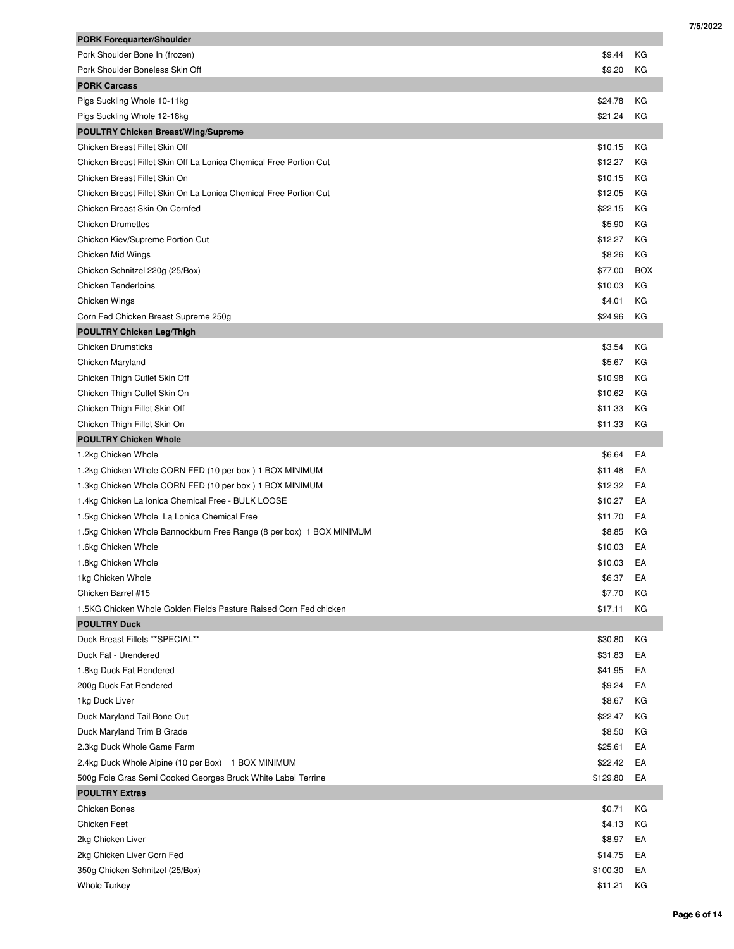| <b>PORK Forequarter/Shoulder</b>                                     |          |            |
|----------------------------------------------------------------------|----------|------------|
| Pork Shoulder Bone In (frozen)                                       | \$9.44   | КG         |
| Pork Shoulder Boneless Skin Off                                      | \$9.20   | КG         |
| <b>PORK Carcass</b>                                                  |          |            |
| Pigs Suckling Whole 10-11kg                                          | \$24.78  | КG         |
| Pigs Suckling Whole 12-18kg                                          | \$21.24  | КG         |
| <b>POULTRY Chicken Breast/Wing/Supreme</b>                           |          |            |
| Chicken Breast Fillet Skin Off                                       | \$10.15  | КG         |
| Chicken Breast Fillet Skin Off La Lonica Chemical Free Portion Cut   | \$12.27  | КG         |
| Chicken Breast Fillet Skin On                                        | \$10.15  | КG         |
| Chicken Breast Fillet Skin On La Lonica Chemical Free Portion Cut    | \$12.05  | КG         |
| Chicken Breast Skin On Cornfed                                       | \$22.15  | ΚG         |
| <b>Chicken Drumettes</b>                                             | \$5.90   | КG         |
| Chicken Kiev/Supreme Portion Cut                                     | \$12.27  | КG         |
| Chicken Mid Wings                                                    | \$8.26   | КG         |
| Chicken Schnitzel 220g (25/Box)                                      | \$77.00  | <b>BOX</b> |
| <b>Chicken Tenderloins</b>                                           | \$10.03  | КG         |
| Chicken Wings                                                        | \$4.01   | КG         |
| Corn Fed Chicken Breast Supreme 250g                                 | \$24.96  | КG         |
| <b>POULTRY Chicken Leg/Thigh</b>                                     |          |            |
| <b>Chicken Drumsticks</b>                                            | \$3.54   | КG         |
| Chicken Maryland                                                     | \$5.67   | КG         |
| Chicken Thigh Cutlet Skin Off                                        | \$10.98  | КG         |
| Chicken Thigh Cutlet Skin On                                         | \$10.62  | КG         |
| Chicken Thigh Fillet Skin Off                                        | \$11.33  | КG         |
| Chicken Thigh Fillet Skin On                                         | \$11.33  | КG         |
| <b>POULTRY Chicken Whole</b>                                         |          |            |
| 1.2kg Chicken Whole                                                  | \$6.64   | EA         |
| 1.2kg Chicken Whole CORN FED (10 per box) 1 BOX MINIMUM              | \$11.48  | EA         |
| 1.3kg Chicken Whole CORN FED (10 per box) 1 BOX MINIMUM              | \$12.32  | EA         |
| 1.4kg Chicken La Ionica Chemical Free - BULK LOOSE                   | \$10.27  | EA         |
| 1.5kg Chicken Whole La Lonica Chemical Free                          | \$11.70  | EA         |
| 1.5kg Chicken Whole Bannockburn Free Range (8 per box) 1 BOX MINIMUM | \$8.85   | КG         |
| 1.6kg Chicken Whole                                                  | \$10.03  | EA         |
| 1.8kg Chicken Whole                                                  | \$10.03  | EA         |
| 1kg Chicken Whole                                                    | \$6.37   | EA         |
| Chicken Barrel #15                                                   | \$7.70   | КG         |
| 1.5KG Chicken Whole Golden Fields Pasture Raised Corn Fed chicken    | \$17.11  | КG         |
| <b>POULTRY Duck</b>                                                  |          |            |
| Duck Breast Fillets ** SPECIAL**                                     | \$30.80  | КG         |
| Duck Fat - Urendered                                                 | \$31.83  | EA         |
| 1.8kg Duck Fat Rendered                                              | \$41.95  | EA         |
| 200g Duck Fat Rendered                                               | \$9.24   | EA         |
| 1kg Duck Liver                                                       | \$8.67   | КG         |
| Duck Maryland Tail Bone Out                                          | \$22.47  | КG         |
| Duck Maryland Trim B Grade                                           | \$8.50   | КG         |
| 2.3kg Duck Whole Game Farm                                           | \$25.61  | EA         |
| 2.4kg Duck Whole Alpine (10 per Box) 1 BOX MINIMUM                   | \$22.42  | EA         |
| 500g Foie Gras Semi Cooked Georges Bruck White Label Terrine         | \$129.80 | EA         |
| <b>POULTRY Extras</b>                                                |          |            |
| <b>Chicken Bones</b>                                                 | \$0.71   | КG         |
| Chicken Feet                                                         | \$4.13   | КG         |
| 2kg Chicken Liver                                                    | \$8.97   | EA         |
| 2kg Chicken Liver Corn Fed                                           | \$14.75  | EA         |
| 350g Chicken Schnitzel (25/Box)                                      | \$100.30 | EA         |
| <b>Whole Turkey</b>                                                  | \$11.21  | ΚG         |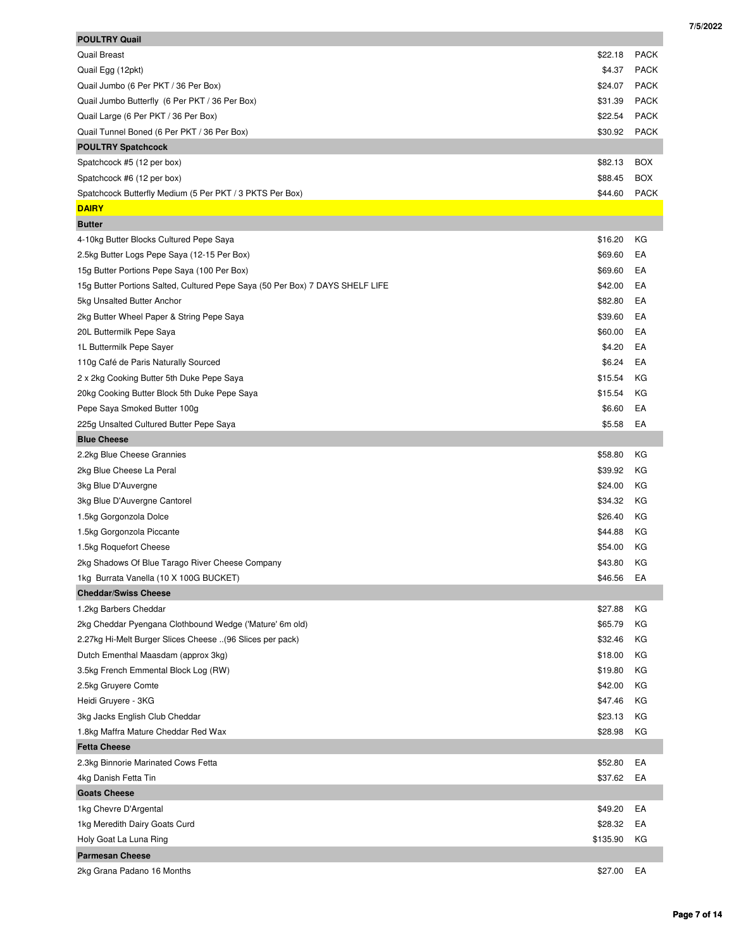| <b>POULTRY Quail</b>                                                          |          |             |
|-------------------------------------------------------------------------------|----------|-------------|
| <b>Quail Breast</b>                                                           | \$22.18  | <b>PACK</b> |
| Quail Egg (12pkt)                                                             | \$4.37   | <b>PACK</b> |
| Quail Jumbo (6 Per PKT / 36 Per Box)                                          | \$24.07  | <b>PACK</b> |
| Quail Jumbo Butterfly (6 Per PKT / 36 Per Box)                                | \$31.39  | <b>PACK</b> |
| Quail Large (6 Per PKT / 36 Per Box)                                          | \$22.54  | <b>PACK</b> |
| Quail Tunnel Boned (6 Per PKT / 36 Per Box)                                   | \$30.92  | <b>PACK</b> |
| <b>POULTRY Spatchcock</b>                                                     |          |             |
| Spatchcock #5 (12 per box)                                                    | \$82.13  | <b>BOX</b>  |
| Spatchcock #6 (12 per box)                                                    | \$88.45  | <b>BOX</b>  |
| Spatchcock Butterfly Medium (5 Per PKT / 3 PKTS Per Box)                      | \$44.60  | <b>PACK</b> |
| <b>DAIRY</b>                                                                  |          |             |
| <b>Butter</b>                                                                 |          |             |
| 4-10kg Butter Blocks Cultured Pepe Saya                                       | \$16.20  | ΚG          |
| 2.5kg Butter Logs Pepe Saya (12-15 Per Box)                                   | \$69.60  | EA          |
| 15g Butter Portions Pepe Saya (100 Per Box)                                   | \$69.60  | EA          |
| 15g Butter Portions Salted, Cultured Pepe Saya (50 Per Box) 7 DAYS SHELF LIFE | \$42.00  | EA          |
| 5kg Unsalted Butter Anchor                                                    | \$82.80  | EA          |
| 2kg Butter Wheel Paper & String Pepe Saya                                     | \$39.60  | EA          |
| 20L Buttermilk Pepe Saya                                                      | \$60.00  | EA          |
| 1L Buttermilk Pepe Sayer                                                      | \$4.20   | EA          |
| 110g Café de Paris Naturally Sourced                                          | \$6.24   | EA          |
| 2 x 2kg Cooking Butter 5th Duke Pepe Saya                                     | \$15.54  | КG          |
| 20kg Cooking Butter Block 5th Duke Pepe Saya                                  | \$15.54  | КG          |
| Pepe Saya Smoked Butter 100g                                                  | \$6.60   | EA          |
| 225g Unsalted Cultured Butter Pepe Saya                                       | \$5.58   | EA          |
| <b>Blue Cheese</b>                                                            |          |             |
| 2.2kg Blue Cheese Grannies                                                    | \$58.80  | ΚG          |
| 2kg Blue Cheese La Peral                                                      | \$39.92  | КG          |
| 3kg Blue D'Auvergne                                                           | \$24.00  | КG          |
| 3kg Blue D'Auvergne Cantorel                                                  | \$34.32  | КG          |
| 1.5kg Gorgonzola Dolce                                                        | \$26.40  | ΚG          |
| 1.5kg Gorgonzola Piccante                                                     | \$44.88  | КG          |
| 1.5kg Roquefort Cheese                                                        | \$54.00  | КG          |
| 2kg Shadows Of Blue Tarago River Cheese Company                               | \$43.80  | ΚG          |
| 1kg Burrata Vanella (10 X 100G BUCKET)                                        | \$46.56  | EA          |
| <b>Cheddar/Swiss Cheese</b>                                                   |          |             |
| 1.2kg Barbers Cheddar                                                         | \$27.88  | КG          |
| 2kg Cheddar Pyengana Clothbound Wedge ('Mature' 6m old)                       | \$65.79  | ΚG          |
| 2.27kg Hi-Melt Burger Slices Cheese (96 Slices per pack)                      | \$32.46  | КG          |
| Dutch Ementhal Maasdam (approx 3kg)                                           | \$18.00  | КG          |
| 3.5kg French Emmental Block Log (RW)                                          | \$19.80  | ΚG          |
| 2.5kg Gruyere Comte                                                           | \$42.00  | КG          |
| Heidi Gruyere - 3KG                                                           | \$47.46  | ΚG          |
| 3kg Jacks English Club Cheddar                                                | \$23.13  | ΚG          |
| 1.8kg Maffra Mature Cheddar Red Wax                                           | \$28.98  | ΚG          |
| <b>Fetta Cheese</b>                                                           |          |             |
| 2.3kg Binnorie Marinated Cows Fetta                                           | \$52.80  | EA          |
| 4kg Danish Fetta Tin                                                          | \$37.62  | EA          |
| <b>Goats Cheese</b>                                                           |          |             |
| 1kg Chevre D'Argental                                                         | \$49.20  | EA          |
| 1kg Meredith Dairy Goats Curd                                                 | \$28.32  | EA          |
| Holy Goat La Luna Ring                                                        | \$135.90 | ΚG          |
| <b>Parmesan Cheese</b>                                                        |          |             |
|                                                                               |          |             |
| 2kg Grana Padano 16 Months                                                    | \$27.00  | EA          |

 **7/5/2022**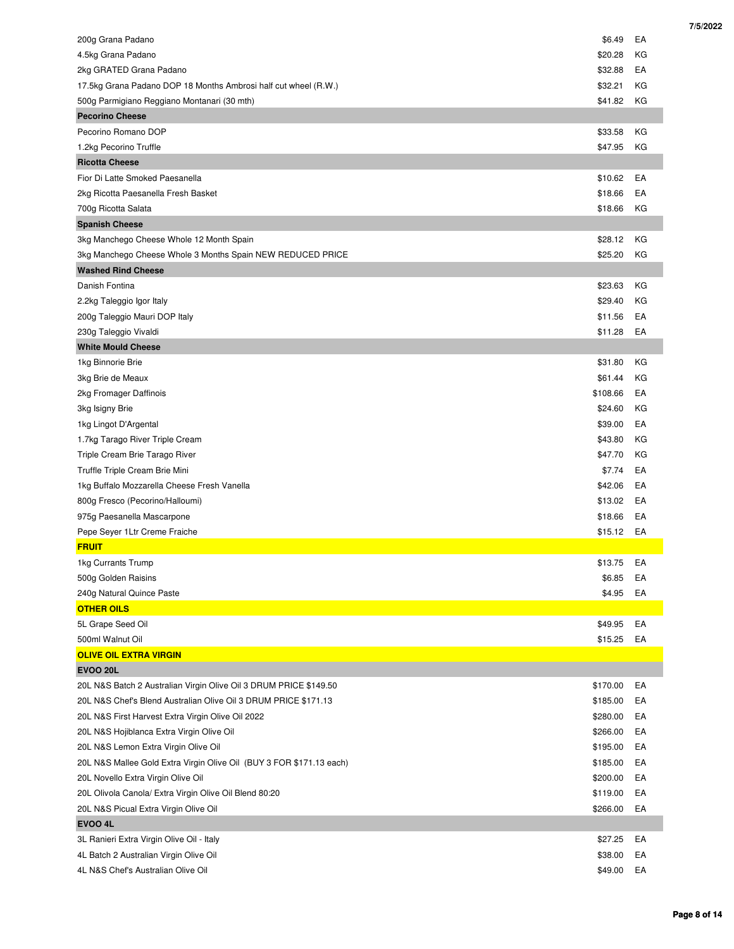| 200g Grana Padano                                                    | \$6.49   | EA |
|----------------------------------------------------------------------|----------|----|
| 4.5kg Grana Padano                                                   | \$20.28  | KG |
| 2kg GRATED Grana Padano                                              | \$32.88  | EA |
| 17.5kg Grana Padano DOP 18 Months Ambrosi half cut wheel (R.W.)      | \$32.21  | КG |
| 500g Parmigiano Reggiano Montanari (30 mth)                          | \$41.82  | КG |
| <b>Pecorino Cheese</b>                                               |          |    |
| Pecorino Romano DOP                                                  | \$33.58  | КG |
| 1.2kg Pecorino Truffle                                               | \$47.95  | KG |
| <b>Ricotta Cheese</b>                                                |          |    |
| Fior Di Latte Smoked Paesanella                                      | \$10.62  | EA |
| 2kg Ricotta Paesanella Fresh Basket                                  | \$18.66  | EA |
| 700g Ricotta Salata                                                  | \$18.66  | KG |
| <b>Spanish Cheese</b>                                                |          |    |
| 3kg Manchego Cheese Whole 12 Month Spain                             | \$28.12  | КG |
| 3kg Manchego Cheese Whole 3 Months Spain NEW REDUCED PRICE           | \$25.20  | КG |
| <b>Washed Rind Cheese</b>                                            |          |    |
| Danish Fontina                                                       | \$23.63  | КG |
| 2.2kg Taleggio Igor Italy                                            | \$29.40  | КG |
| 200g Taleggio Mauri DOP Italy                                        | \$11.56  | EA |
| 230g Taleggio Vivaldi                                                | \$11.28  | EA |
| <b>White Mould Cheese</b>                                            |          |    |
| 1kg Binnorie Brie                                                    | \$31.80  | КG |
| 3kg Brie de Meaux                                                    | \$61.44  | КG |
| 2kg Fromager Daffinois                                               | \$108.66 | EA |
| 3kg Isigny Brie                                                      | \$24.60  | КG |
| 1kg Lingot D'Argental                                                | \$39.00  | EA |
| 1.7kg Tarago River Triple Cream                                      | \$43.80  | ΚG |
| Triple Cream Brie Tarago River                                       | \$47.70  | КG |
| Truffle Triple Cream Brie Mini                                       | \$7.74   | EA |
| 1kg Buffalo Mozzarella Cheese Fresh Vanella                          | \$42.06  | EA |
| 800g Fresco (Pecorino/Halloumi)                                      | \$13.02  | EA |
| 975g Paesanella Mascarpone                                           | \$18.66  | EA |
| Pepe Seyer 1Ltr Creme Fraiche                                        | \$15.12  | EA |
| <b>FRUIT</b>                                                         |          |    |
| 1kg Currants Trump                                                   | \$13.75  | EA |
| 500g Golden Raisins                                                  | \$6.85   | EA |
| 240g Natural Quince Paste                                            | \$4.95   | EA |
| <b>OTHER OILS</b>                                                    |          |    |
| 5L Grape Seed Oil                                                    | \$49.95  | EA |
| 500ml Walnut Oil                                                     | \$15.25  | EA |
| <b>OLIVE OIL EXTRA VIRGIN</b>                                        |          |    |
| <b>EVOO 20L</b>                                                      |          |    |
| 20L N&S Batch 2 Australian Virgin Olive Oil 3 DRUM PRICE \$149.50    | \$170.00 | EA |
| 20L N&S Chef's Blend Australian Olive Oil 3 DRUM PRICE \$171.13      | \$185.00 | EA |
| 20L N&S First Harvest Extra Virgin Olive Oil 2022                    | \$280.00 | EA |
| 20L N&S Hojiblanca Extra Virgin Olive Oil                            | \$266.00 | EA |
| 20L N&S Lemon Extra Virgin Olive Oil                                 | \$195.00 | EA |
| 20L N&S Mallee Gold Extra Virgin Olive Oil (BUY 3 FOR \$171.13 each) | \$185.00 | EA |
| 20L Novello Extra Virgin Olive Oil                                   | \$200.00 | EA |
| 20L Olivola Canola/ Extra Virgin Olive Oil Blend 80:20               | \$119.00 | EA |
| 20L N&S Picual Extra Virgin Olive Oil                                | \$266.00 | EA |
| <b>EVOO 4L</b>                                                       |          |    |
| 3L Ranieri Extra Virgin Olive Oil - Italy                            | \$27.25  | EA |
| 4L Batch 2 Australian Virgin Olive Oil                               | \$38.00  | EA |
| 4L N&S Chef's Australian Olive Oil                                   | \$49.00  | EA |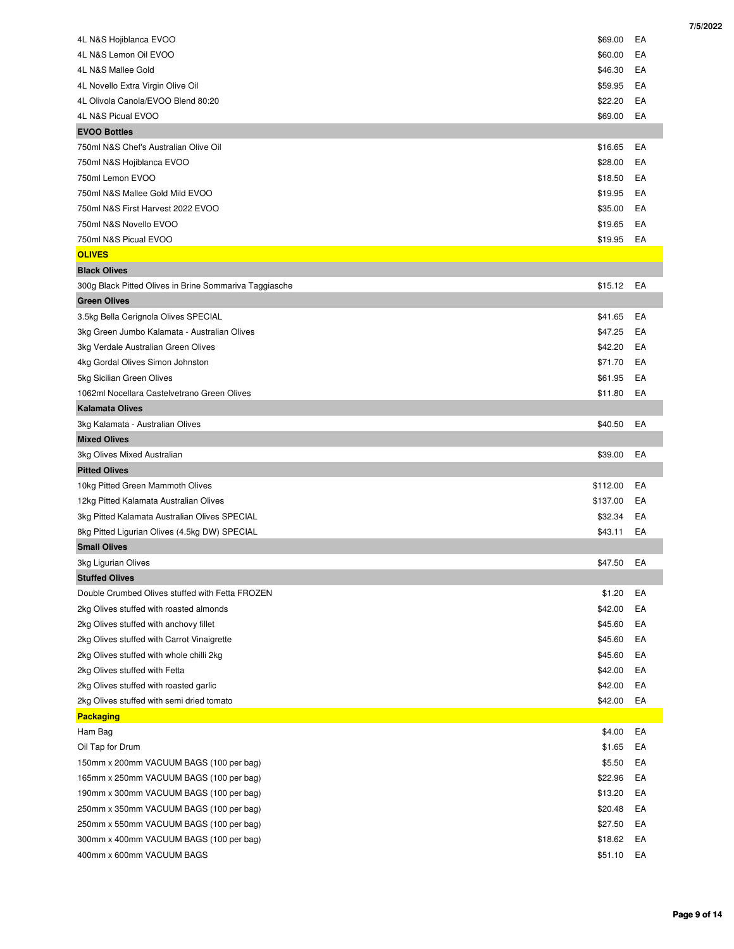| 4L N&S Hojiblanca EVOO                                 | \$69.00  | EA |
|--------------------------------------------------------|----------|----|
| 4L N&S Lemon Oil EVOO                                  | \$60.00  | EA |
| 4L N&S Mallee Gold                                     | \$46.30  | EA |
| 4L Novello Extra Virgin Olive Oil                      | \$59.95  | EA |
| 4L Olivola Canola/EVOO Blend 80:20                     | \$22.20  | EA |
| 4L N&S Picual EVOO                                     | \$69.00  | EA |
| <b>EVOO Bottles</b>                                    |          |    |
| 750ml N&S Chef's Australian Olive Oil                  | \$16.65  | EA |
| 750ml N&S Hojiblanca EVOO                              | \$28.00  | EA |
| 750ml Lemon EVOO                                       | \$18.50  | EA |
| 750ml N&S Mallee Gold Mild EVOO                        | \$19.95  | EA |
| 750ml N&S First Harvest 2022 EVOO                      | \$35.00  | EA |
| 750ml N&S Novello EVOO                                 | \$19.65  | EA |
| 750ml N&S Picual EVOO                                  | \$19.95  | EA |
| <b>OLIVES</b>                                          |          |    |
| <b>Black Olives</b>                                    |          |    |
| 300g Black Pitted Olives in Brine Sommariva Taggiasche | \$15.12  | EA |
| <b>Green Olives</b>                                    |          |    |
| 3.5kg Bella Cerignola Olives SPECIAL                   | \$41.65  | EA |
| 3kg Green Jumbo Kalamata - Australian Olives           | \$47.25  | EA |
| 3kg Verdale Australian Green Olives                    | \$42.20  | EA |
| 4kg Gordal Olives Simon Johnston                       | \$71.70  | EA |
| 5kg Sicilian Green Olives                              | \$61.95  | EA |
| 1062ml Nocellara Castelvetrano Green Olives            | \$11.80  | EA |
| <b>Kalamata Olives</b>                                 |          |    |
| 3kg Kalamata - Australian Olives                       | \$40.50  | EA |
| <b>Mixed Olives</b>                                    |          |    |
| 3kg Olives Mixed Australian                            | \$39.00  | EA |
| <b>Pitted Olives</b>                                   |          |    |
| 10kg Pitted Green Mammoth Olives                       | \$112.00 | EA |
| 12kg Pitted Kalamata Australian Olives                 | \$137.00 | EA |
| 3kg Pitted Kalamata Australian Olives SPECIAL          | \$32.34  | EA |
| 8kg Pitted Ligurian Olives (4.5kg DW) SPECIAL          | \$43.11  | EA |
| <b>Small Olives</b>                                    |          |    |
| 3kg Ligurian Olives                                    | \$47.50  | EA |
| <b>Stuffed Olives</b>                                  |          |    |
| Double Crumbed Olives stuffed with Fetta FROZEN        | \$1.20   | EA |
| 2kg Olives stuffed with roasted almonds                | \$42.00  | EA |
| 2kg Olives stuffed with anchovy fillet                 | \$45.60  | EA |
| 2kg Olives stuffed with Carrot Vinaigrette             | \$45.60  | EA |
| 2kg Olives stuffed with whole chilli 2kg               | \$45.60  | EA |
| 2kg Olives stuffed with Fetta                          | \$42.00  | EA |
| 2kg Olives stuffed with roasted garlic                 | \$42.00  | EA |
| 2kg Olives stuffed with semi dried tomato              | \$42.00  | EA |
| <b>Packaging</b>                                       |          |    |
| Ham Bag                                                | \$4.00   | EA |
| Oil Tap for Drum                                       | \$1.65   | EA |
| 150mm x 200mm VACUUM BAGS (100 per bag)                | \$5.50   | EA |
| 165mm x 250mm VACUUM BAGS (100 per bag)                | \$22.96  | EA |
| 190mm x 300mm VACUUM BAGS (100 per bag)                | \$13.20  | EA |
| 250mm x 350mm VACUUM BAGS (100 per bag)                | \$20.48  | EA |
| 250mm x 550mm VACUUM BAGS (100 per bag)                | \$27.50  | EA |
|                                                        |          |    |
| 300mm x 400mm VACUUM BAGS (100 per bag)                | \$18.62  | EA |

 **7/5/2022**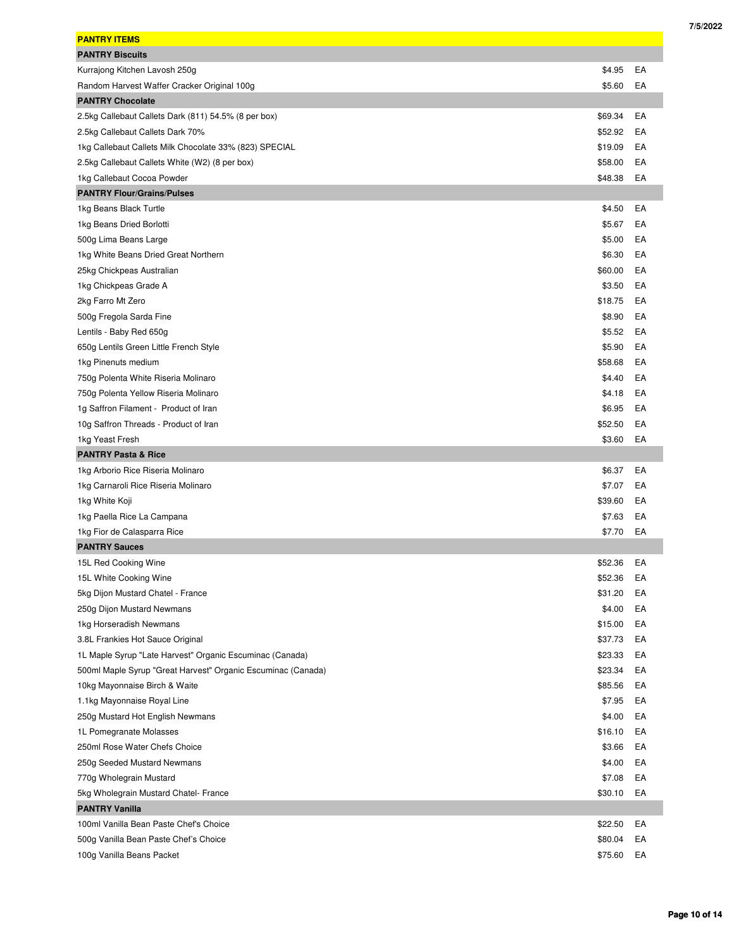| <b>PANTRY ITEMS</b>                                          |         |    |
|--------------------------------------------------------------|---------|----|
| <b>PANTRY Biscuits</b>                                       |         |    |
| Kurrajong Kitchen Lavosh 250g                                | \$4.95  | EA |
| Random Harvest Waffer Cracker Original 100g                  | \$5.60  | EA |
| <b>PANTRY Chocolate</b>                                      |         |    |
| 2.5kg Callebaut Callets Dark (811) 54.5% (8 per box)         | \$69.34 | EA |
| 2.5kg Callebaut Callets Dark 70%                             | \$52.92 | EA |
| 1kg Callebaut Callets Milk Chocolate 33% (823) SPECIAL       | \$19.09 | EA |
| 2.5kg Callebaut Callets White (W2) (8 per box)               | \$58.00 | EA |
| 1kg Callebaut Cocoa Powder                                   | \$48.38 | EA |
| <b>PANTRY Flour/Grains/Pulses</b>                            |         |    |
| 1kg Beans Black Turtle                                       | \$4.50  | EA |
|                                                              | \$5.67  |    |
| 1kg Beans Dried Borlotti                                     |         | EA |
| 500g Lima Beans Large                                        | \$5.00  | EA |
| 1kg White Beans Dried Great Northern                         | \$6.30  | EA |
| 25kg Chickpeas Australian                                    | \$60.00 | EA |
| 1kg Chickpeas Grade A                                        | \$3.50  | EA |
| 2kg Farro Mt Zero                                            | \$18.75 | EA |
| 500g Fregola Sarda Fine                                      | \$8.90  | EA |
| Lentils - Baby Red 650g                                      | \$5.52  | EA |
| 650g Lentils Green Little French Style                       | \$5.90  | EA |
| 1kg Pinenuts medium                                          | \$58.68 | EA |
| 750g Polenta White Riseria Molinaro                          | \$4.40  | EA |
| 750g Polenta Yellow Riseria Molinaro                         | \$4.18  | EA |
| 1g Saffron Filament - Product of Iran                        | \$6.95  | EA |
| 10g Saffron Threads - Product of Iran                        | \$52.50 | EA |
| 1kg Yeast Fresh                                              | \$3.60  | EA |
|                                                              |         |    |
| <b>PANTRY Pasta &amp; Rice</b>                               |         |    |
| 1kg Arborio Rice Riseria Molinaro                            | \$6.37  | EA |
| 1kg Carnaroli Rice Riseria Molinaro                          | \$7.07  | EA |
| 1kg White Koji                                               | \$39.60 | EA |
| 1kg Paella Rice La Campana                                   | \$7.63  | EA |
| 1kg Fior de Calasparra Rice                                  | \$7.70  | EA |
| <b>PANTRY Sauces</b>                                         |         |    |
| 15L Red Cooking Wine                                         | \$52.36 | EA |
| 15L White Cooking Wine                                       | \$52.36 | EA |
| 5kg Dijon Mustard Chatel - France                            | \$31.20 | EA |
| 250g Dijon Mustard Newmans                                   | \$4.00  | EA |
| 1kg Horseradish Newmans                                      | \$15.00 | EA |
| 3.8L Frankies Hot Sauce Original                             | \$37.73 | EA |
| 1L Maple Syrup "Late Harvest" Organic Escuminac (Canada)     | \$23.33 | EA |
| 500ml Maple Syrup "Great Harvest" Organic Escuminac (Canada) | \$23.34 | EA |
| 10kg Mayonnaise Birch & Waite                                | \$85.56 | EA |
| 1.1kg Mayonnaise Royal Line                                  | \$7.95  | EA |
| 250g Mustard Hot English Newmans                             | \$4.00  | EA |
| 1L Pomegranate Molasses                                      | \$16.10 | EA |
| 250ml Rose Water Chefs Choice                                | \$3.66  | EA |
| 250g Seeded Mustard Newmans                                  | \$4.00  | EA |
| 770g Wholegrain Mustard                                      | \$7.08  | EA |
| 5kg Wholegrain Mustard Chatel- France                        | \$30.10 | EA |
| <b>PANTRY Vanilla</b>                                        |         |    |
| 100ml Vanilla Bean Paste Chef's Choice                       | \$22.50 | EA |
| 500g Vanilla Bean Paste Chef's Choice                        | \$80.04 | EA |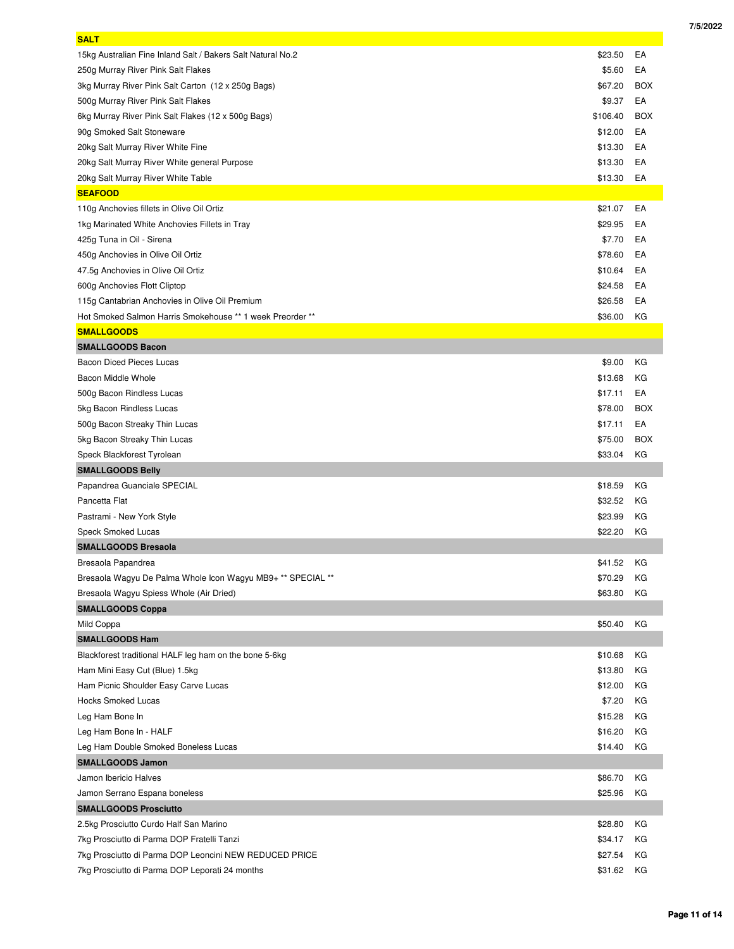| <b>SALT</b>                                                 |          |            |
|-------------------------------------------------------------|----------|------------|
| 15kg Australian Fine Inland Salt / Bakers Salt Natural No.2 | \$23.50  | EA         |
| 250g Murray River Pink Salt Flakes                          | \$5.60   | EA         |
| 3kg Murray River Pink Salt Carton (12 x 250g Bags)          | \$67.20  | <b>BOX</b> |
| 500g Murray River Pink Salt Flakes                          | \$9.37   | EA         |
| 6kg Murray River Pink Salt Flakes (12 x 500g Bags)          | \$106.40 | <b>BOX</b> |
| 90g Smoked Salt Stoneware                                   | \$12.00  | EA         |
| 20kg Salt Murray River White Fine                           | \$13.30  | EA         |
| 20kg Salt Murray River White general Purpose                | \$13.30  | EA         |
| 20kg Salt Murray River White Table                          | \$13.30  | EA         |
| <b>SEAFOOD</b>                                              |          |            |
| 110g Anchovies fillets in Olive Oil Ortiz                   | \$21.07  | EA         |
| 1kg Marinated White Anchovies Fillets in Tray               | \$29.95  | EA         |
| 425g Tuna in Oil - Sirena                                   | \$7.70   | EA         |
| 450g Anchovies in Olive Oil Ortiz                           | \$78.60  | EA         |
| 47.5g Anchovies in Olive Oil Ortiz                          | \$10.64  | EA         |
| 600g Anchovies Flott Cliptop                                | \$24.58  | EA         |
| 115g Cantabrian Anchovies in Olive Oil Premium              | \$26.58  | EA         |
| Hot Smoked Salmon Harris Smokehouse ** 1 week Preorder **   | \$36.00  | КG         |
| <b>SMALLGOODS</b>                                           |          |            |
| <b>SMALLGOODS Bacon</b>                                     |          |            |
| <b>Bacon Diced Pieces Lucas</b>                             | \$9.00   | КG         |
| Bacon Middle Whole                                          | \$13.68  | КG         |
| 500g Bacon Rindless Lucas                                   | \$17.11  | EA         |
| 5kg Bacon Rindless Lucas                                    | \$78.00  | <b>BOX</b> |
| 500g Bacon Streaky Thin Lucas                               | \$17.11  | EA         |
| 5kg Bacon Streaky Thin Lucas                                | \$75.00  | <b>BOX</b> |
| Speck Blackforest Tyrolean                                  | \$33.04  | КG         |
| <b>SMALLGOODS Belly</b>                                     |          |            |
| Papandrea Guanciale SPECIAL                                 | \$18.59  | КG         |
| Pancetta Flat                                               | \$32.52  | КG         |
| Pastrami - New York Style                                   | \$23.99  | КG         |
| Speck Smoked Lucas                                          | \$22.20  | КG         |
| <b>SMALLGOODS Bresaola</b>                                  |          |            |
| Bresaola Papandrea                                          | \$41.52  | КG         |
| Bresaola Wagyu De Palma Whole Icon Wagyu MB9+ ** SPECIAL ** | \$70.29  | KG         |
| Bresaola Wagyu Spiess Whole (Air Dried)                     | \$63.80  | КG         |
| <b>SMALLGOODS Coppa</b>                                     |          |            |
| Mild Coppa                                                  | \$50.40  | КG         |
| <b>SMALLGOODS Ham</b>                                       |          |            |
| Blackforest traditional HALF leg ham on the bone 5-6kg      | \$10.68  | КG         |
| Ham Mini Easy Cut (Blue) 1.5kg                              | \$13.80  | КG         |
| Ham Picnic Shoulder Easy Carve Lucas                        | \$12.00  | КG         |
| <b>Hocks Smoked Lucas</b>                                   | \$7.20   | КG         |
| Leg Ham Bone In                                             | \$15.28  | КG         |
| Leg Ham Bone In - HALF                                      | \$16.20  | КG         |
| Leg Ham Double Smoked Boneless Lucas                        | \$14.40  | КG         |
| <b>SMALLGOODS Jamon</b>                                     |          |            |
| Jamon Ibericio Halves                                       | \$86.70  | КG         |
| Jamon Serrano Espana boneless                               | \$25.96  | КG         |
| <b>SMALLGOODS Prosciutto</b>                                |          |            |
| 2.5kg Prosciutto Curdo Half San Marino                      | \$28.80  | КG         |
| 7kg Prosciutto di Parma DOP Fratelli Tanzi                  | \$34.17  | КG         |
| 7kg Prosciutto di Parma DOP Leoncini NEW REDUCED PRICE      | \$27.54  | КG         |
| 7kg Prosciutto di Parma DOP Leporati 24 months              | \$31.62  | КG         |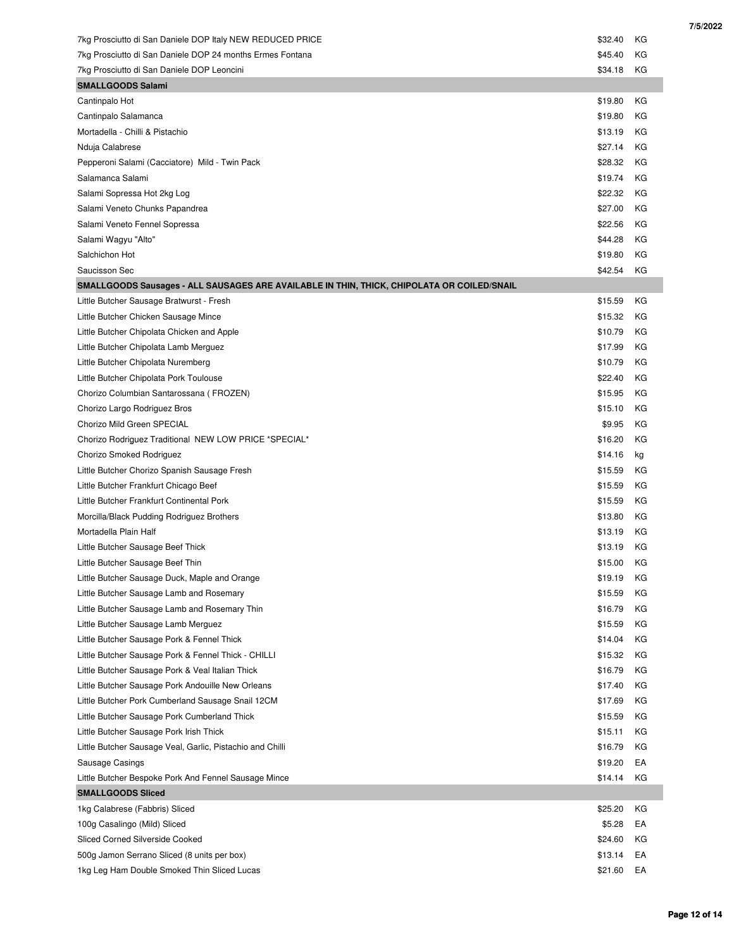| 7kg Prosciutto di San Daniele DOP Italy NEW REDUCED PRICE                                  | \$32.40            | КG       |
|--------------------------------------------------------------------------------------------|--------------------|----------|
| 7kg Prosciutto di San Daniele DOP 24 months Ermes Fontana                                  | \$45.40            | ΚG       |
| 7kg Prosciutto di San Daniele DOP Leoncini                                                 | \$34.18            | КG       |
| <b>SMALLGOODS Salami</b>                                                                   |                    |          |
| Cantinpalo Hot                                                                             | \$19.80            | КG       |
| Cantinpalo Salamanca                                                                       | \$19.80            | КG       |
| Mortadella - Chilli & Pistachio                                                            | \$13.19            | КG       |
| Nduja Calabrese                                                                            | \$27.14            | КG       |
| Pepperoni Salami (Cacciatore) Mild - Twin Pack                                             | \$28.32            | KG       |
| Salamanca Salami                                                                           | \$19.74            | ΚG       |
| Salami Sopressa Hot 2kg Log                                                                | \$22.32            | КG       |
| Salami Veneto Chunks Papandrea                                                             | \$27.00            | ΚG       |
| Salami Veneto Fennel Sopressa                                                              | \$22.56            | ΚG       |
| Salami Wagyu "Alto"                                                                        | \$44.28            | КG       |
| Salchichon Hot                                                                             | \$19.80            | KG       |
| Saucisson Sec                                                                              | \$42.54            | KG       |
| SMALLGOODS Sausages - ALL SAUSAGES ARE AVAILABLE IN THIN, THICK, CHIPOLATA OR COILED/SNAIL |                    |          |
| Little Butcher Sausage Bratwurst - Fresh                                                   | \$15.59            | КG       |
| Little Butcher Chicken Sausage Mince                                                       | \$15.32            | КG       |
| Little Butcher Chipolata Chicken and Apple                                                 | \$10.79            | КG       |
| Little Butcher Chipolata Lamb Merguez                                                      | \$17.99            | КG       |
| Little Butcher Chipolata Nuremberg                                                         | \$10.79            | КG       |
| Little Butcher Chipolata Pork Toulouse                                                     | \$22.40            | КG       |
| Chorizo Columbian Santarossana (FROZEN)                                                    | \$15.95            | КG       |
| Chorizo Largo Rodriguez Bros                                                               | \$15.10            | КG       |
| Chorizo Mild Green SPECIAL                                                                 | \$9.95             | КG       |
| Chorizo Rodriguez Traditional NEW LOW PRICE *SPECIAL*                                      | \$16.20            | КG       |
| Chorizo Smoked Rodriguez                                                                   | \$14.16            | kg       |
| Little Butcher Chorizo Spanish Sausage Fresh                                               | \$15.59            | КG       |
| Little Butcher Frankfurt Chicago Beef                                                      | \$15.59            | КG       |
| Little Butcher Frankfurt Continental Pork                                                  | \$15.59            | КG       |
| Morcilla/Black Pudding Rodriguez Brothers                                                  | \$13.80            | КG       |
| Mortadella Plain Half                                                                      | \$13.19            | КG       |
| Little Butcher Sausage Beef Thick                                                          | \$13.19            | КG       |
| Little Butcher Sausage Beef Thin                                                           | \$15.00            | КG       |
| Little Butcher Sausage Duck, Maple and Orange                                              | \$19.19            | ΚG       |
| Little Butcher Sausage Lamb and Rosemary                                                   | \$15.59            | ΚG       |
| Little Butcher Sausage Lamb and Rosemary Thin                                              | \$16.79            | ΚG       |
| Little Butcher Sausage Lamb Merguez                                                        | \$15.59            | ΚG       |
| Little Butcher Sausage Pork & Fennel Thick                                                 | \$14.04            | ΚG       |
| Little Butcher Sausage Pork & Fennel Thick - CHILLI                                        | \$15.32            | ΚG       |
| Little Butcher Sausage Pork & Veal Italian Thick                                           | \$16.79            | ΚG       |
| Little Butcher Sausage Pork Andouille New Orleans                                          | \$17.40            | ΚG       |
| Little Butcher Pork Cumberland Sausage Snail 12CM                                          | \$17.69            | ΚG       |
| Little Butcher Sausage Pork Cumberland Thick                                               | \$15.59            | ΚG       |
|                                                                                            |                    |          |
| Little Butcher Sausage Pork Irish Thick                                                    | \$15.11<br>\$16.79 | ΚG       |
| Little Butcher Sausage Veal, Garlic, Pistachio and Chilli                                  | \$19.20            | ΚG<br>EA |
| Sausage Casings                                                                            |                    |          |
| Little Butcher Bespoke Pork And Fennel Sausage Mince                                       | \$14.14            | ΚG       |
| <b>SMALLGOODS Sliced</b>                                                                   |                    |          |
| 1kg Calabrese (Fabbris) Sliced                                                             | \$25.20            | ΚG       |
| 100g Casalingo (Mild) Sliced                                                               | \$5.28             | EA       |
| <b>Sliced Corned Silverside Cooked</b>                                                     | \$24.60            | ΚG       |
| 500g Jamon Serrano Sliced (8 units per box)                                                | \$13.14            | EA       |
| 1kg Leg Ham Double Smoked Thin Sliced Lucas                                                | \$21.60            | EA       |

 **Page 12 of 14**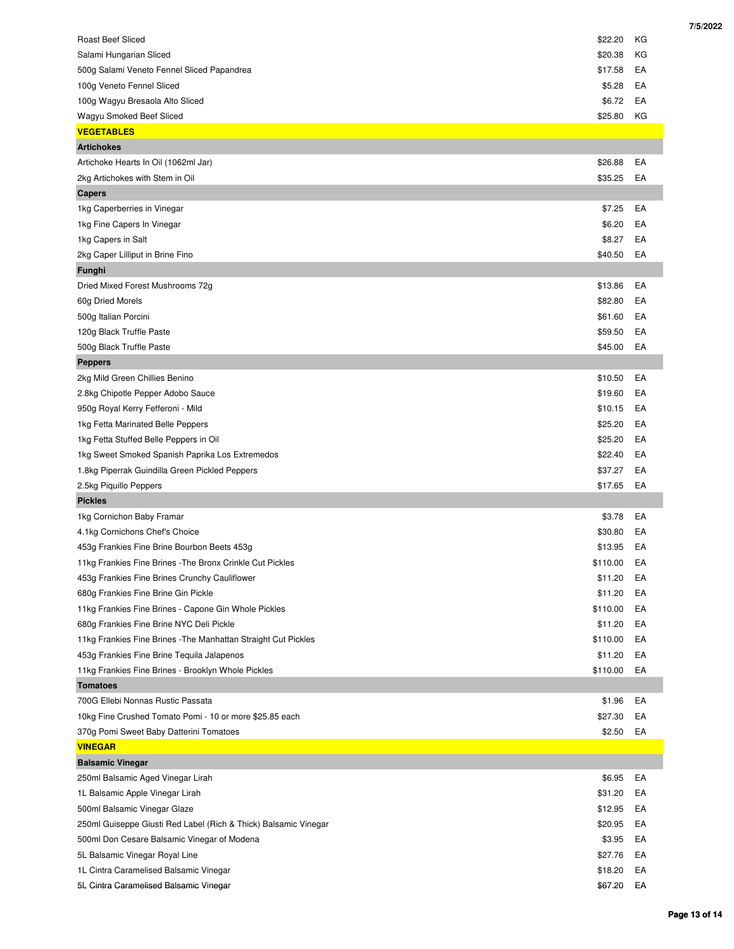| <b>Roast Beef Sliced</b><br>\$22.20<br>КG<br>\$20.38<br>КG<br>Salami Hungarian Sliced<br>500g Salami Veneto Fennel Sliced Papandrea<br>\$17.58<br>EA<br>EA<br>100g Veneto Fennel Sliced<br>\$5.28<br>100g Wagyu Bresaola Alto Sliced<br>\$6.72<br>EA<br>\$25.80<br>Wagyu Smoked Beef Sliced<br>КG<br><b>VEGETABLES</b><br><b>Artichokes</b><br>\$26.88<br>EA<br>Artichoke Hearts In Oil (1062ml Jar)<br>\$35.25<br>2kg Artichokes with Stem in Oil<br>EA<br><b>Capers</b><br>1kg Caperberries in Vinegar<br>\$7.25<br>EA<br>1kg Fine Capers In Vinegar<br>\$6.20<br>EA<br>1kg Capers in Salt<br>\$8.27<br>EA<br>\$40.50<br>2kg Caper Lilliput in Brine Fino<br>EA<br>Funghi<br>Dried Mixed Forest Mushrooms 72g<br>\$13.86<br>EA<br>EA<br>60g Dried Morels<br>\$82.80<br>500g Italian Porcini<br>\$61.60<br>EA<br>120g Black Truffle Paste<br>\$59.50<br>EA<br>\$45.00<br>500g Black Truffle Paste<br>EA<br><b>Peppers</b><br>EA<br>2kg Mild Green Chillies Benino<br>\$10.50<br>\$19.60<br>EA<br>2.8kg Chipotle Pepper Adobo Sauce<br>950g Royal Kerry Fefferoni - Mild<br>\$10.15<br>EA<br>1kg Fetta Marinated Belle Peppers<br>\$25.20<br>EA<br>1kg Fetta Stuffed Belle Peppers in Oil<br>\$25.20<br>EA<br>1kg Sweet Smoked Spanish Paprika Los Extremedos<br>\$22.40<br>EA<br>1.8kg Piperrak Guindilla Green Pickled Peppers<br>\$37.27<br>EA<br>2.5kg Piquillo Peppers<br>\$17.65<br>EA<br><b>Pickles</b><br>1kg Cornichon Baby Framar<br>\$3.78<br>EA<br>EA<br>4.1kg Cornichons Chef's Choice<br>\$30.80<br>\$13.95<br>453g Frankies Fine Brine Bourbon Beets 453g<br>EA<br>11kg Frankies Fine Brines - The Bronx Crinkle Cut Pickles<br>\$110.00<br>EA<br>\$11.20<br>EA<br>453g Frankies Fine Brines Crunchy Cauliflower<br>680g Frankies Fine Brine Gin Pickle<br>\$11.20<br>EA |
|-----------------------------------------------------------------------------------------------------------------------------------------------------------------------------------------------------------------------------------------------------------------------------------------------------------------------------------------------------------------------------------------------------------------------------------------------------------------------------------------------------------------------------------------------------------------------------------------------------------------------------------------------------------------------------------------------------------------------------------------------------------------------------------------------------------------------------------------------------------------------------------------------------------------------------------------------------------------------------------------------------------------------------------------------------------------------------------------------------------------------------------------------------------------------------------------------------------------------------------------------------------------------------------------------------------------------------------------------------------------------------------------------------------------------------------------------------------------------------------------------------------------------------------------------------------------------------------------------------------------------------------------------------------------------------------------------------------------------------------------------------------------------------------------|
|                                                                                                                                                                                                                                                                                                                                                                                                                                                                                                                                                                                                                                                                                                                                                                                                                                                                                                                                                                                                                                                                                                                                                                                                                                                                                                                                                                                                                                                                                                                                                                                                                                                                                                                                                                                         |
|                                                                                                                                                                                                                                                                                                                                                                                                                                                                                                                                                                                                                                                                                                                                                                                                                                                                                                                                                                                                                                                                                                                                                                                                                                                                                                                                                                                                                                                                                                                                                                                                                                                                                                                                                                                         |
|                                                                                                                                                                                                                                                                                                                                                                                                                                                                                                                                                                                                                                                                                                                                                                                                                                                                                                                                                                                                                                                                                                                                                                                                                                                                                                                                                                                                                                                                                                                                                                                                                                                                                                                                                                                         |
|                                                                                                                                                                                                                                                                                                                                                                                                                                                                                                                                                                                                                                                                                                                                                                                                                                                                                                                                                                                                                                                                                                                                                                                                                                                                                                                                                                                                                                                                                                                                                                                                                                                                                                                                                                                         |
|                                                                                                                                                                                                                                                                                                                                                                                                                                                                                                                                                                                                                                                                                                                                                                                                                                                                                                                                                                                                                                                                                                                                                                                                                                                                                                                                                                                                                                                                                                                                                                                                                                                                                                                                                                                         |
|                                                                                                                                                                                                                                                                                                                                                                                                                                                                                                                                                                                                                                                                                                                                                                                                                                                                                                                                                                                                                                                                                                                                                                                                                                                                                                                                                                                                                                                                                                                                                                                                                                                                                                                                                                                         |
|                                                                                                                                                                                                                                                                                                                                                                                                                                                                                                                                                                                                                                                                                                                                                                                                                                                                                                                                                                                                                                                                                                                                                                                                                                                                                                                                                                                                                                                                                                                                                                                                                                                                                                                                                                                         |
|                                                                                                                                                                                                                                                                                                                                                                                                                                                                                                                                                                                                                                                                                                                                                                                                                                                                                                                                                                                                                                                                                                                                                                                                                                                                                                                                                                                                                                                                                                                                                                                                                                                                                                                                                                                         |
|                                                                                                                                                                                                                                                                                                                                                                                                                                                                                                                                                                                                                                                                                                                                                                                                                                                                                                                                                                                                                                                                                                                                                                                                                                                                                                                                                                                                                                                                                                                                                                                                                                                                                                                                                                                         |
|                                                                                                                                                                                                                                                                                                                                                                                                                                                                                                                                                                                                                                                                                                                                                                                                                                                                                                                                                                                                                                                                                                                                                                                                                                                                                                                                                                                                                                                                                                                                                                                                                                                                                                                                                                                         |
|                                                                                                                                                                                                                                                                                                                                                                                                                                                                                                                                                                                                                                                                                                                                                                                                                                                                                                                                                                                                                                                                                                                                                                                                                                                                                                                                                                                                                                                                                                                                                                                                                                                                                                                                                                                         |
|                                                                                                                                                                                                                                                                                                                                                                                                                                                                                                                                                                                                                                                                                                                                                                                                                                                                                                                                                                                                                                                                                                                                                                                                                                                                                                                                                                                                                                                                                                                                                                                                                                                                                                                                                                                         |
|                                                                                                                                                                                                                                                                                                                                                                                                                                                                                                                                                                                                                                                                                                                                                                                                                                                                                                                                                                                                                                                                                                                                                                                                                                                                                                                                                                                                                                                                                                                                                                                                                                                                                                                                                                                         |
|                                                                                                                                                                                                                                                                                                                                                                                                                                                                                                                                                                                                                                                                                                                                                                                                                                                                                                                                                                                                                                                                                                                                                                                                                                                                                                                                                                                                                                                                                                                                                                                                                                                                                                                                                                                         |
|                                                                                                                                                                                                                                                                                                                                                                                                                                                                                                                                                                                                                                                                                                                                                                                                                                                                                                                                                                                                                                                                                                                                                                                                                                                                                                                                                                                                                                                                                                                                                                                                                                                                                                                                                                                         |
|                                                                                                                                                                                                                                                                                                                                                                                                                                                                                                                                                                                                                                                                                                                                                                                                                                                                                                                                                                                                                                                                                                                                                                                                                                                                                                                                                                                                                                                                                                                                                                                                                                                                                                                                                                                         |
|                                                                                                                                                                                                                                                                                                                                                                                                                                                                                                                                                                                                                                                                                                                                                                                                                                                                                                                                                                                                                                                                                                                                                                                                                                                                                                                                                                                                                                                                                                                                                                                                                                                                                                                                                                                         |
|                                                                                                                                                                                                                                                                                                                                                                                                                                                                                                                                                                                                                                                                                                                                                                                                                                                                                                                                                                                                                                                                                                                                                                                                                                                                                                                                                                                                                                                                                                                                                                                                                                                                                                                                                                                         |
|                                                                                                                                                                                                                                                                                                                                                                                                                                                                                                                                                                                                                                                                                                                                                                                                                                                                                                                                                                                                                                                                                                                                                                                                                                                                                                                                                                                                                                                                                                                                                                                                                                                                                                                                                                                         |
|                                                                                                                                                                                                                                                                                                                                                                                                                                                                                                                                                                                                                                                                                                                                                                                                                                                                                                                                                                                                                                                                                                                                                                                                                                                                                                                                                                                                                                                                                                                                                                                                                                                                                                                                                                                         |
|                                                                                                                                                                                                                                                                                                                                                                                                                                                                                                                                                                                                                                                                                                                                                                                                                                                                                                                                                                                                                                                                                                                                                                                                                                                                                                                                                                                                                                                                                                                                                                                                                                                                                                                                                                                         |
|                                                                                                                                                                                                                                                                                                                                                                                                                                                                                                                                                                                                                                                                                                                                                                                                                                                                                                                                                                                                                                                                                                                                                                                                                                                                                                                                                                                                                                                                                                                                                                                                                                                                                                                                                                                         |
|                                                                                                                                                                                                                                                                                                                                                                                                                                                                                                                                                                                                                                                                                                                                                                                                                                                                                                                                                                                                                                                                                                                                                                                                                                                                                                                                                                                                                                                                                                                                                                                                                                                                                                                                                                                         |
|                                                                                                                                                                                                                                                                                                                                                                                                                                                                                                                                                                                                                                                                                                                                                                                                                                                                                                                                                                                                                                                                                                                                                                                                                                                                                                                                                                                                                                                                                                                                                                                                                                                                                                                                                                                         |
|                                                                                                                                                                                                                                                                                                                                                                                                                                                                                                                                                                                                                                                                                                                                                                                                                                                                                                                                                                                                                                                                                                                                                                                                                                                                                                                                                                                                                                                                                                                                                                                                                                                                                                                                                                                         |
|                                                                                                                                                                                                                                                                                                                                                                                                                                                                                                                                                                                                                                                                                                                                                                                                                                                                                                                                                                                                                                                                                                                                                                                                                                                                                                                                                                                                                                                                                                                                                                                                                                                                                                                                                                                         |
|                                                                                                                                                                                                                                                                                                                                                                                                                                                                                                                                                                                                                                                                                                                                                                                                                                                                                                                                                                                                                                                                                                                                                                                                                                                                                                                                                                                                                                                                                                                                                                                                                                                                                                                                                                                         |
|                                                                                                                                                                                                                                                                                                                                                                                                                                                                                                                                                                                                                                                                                                                                                                                                                                                                                                                                                                                                                                                                                                                                                                                                                                                                                                                                                                                                                                                                                                                                                                                                                                                                                                                                                                                         |
|                                                                                                                                                                                                                                                                                                                                                                                                                                                                                                                                                                                                                                                                                                                                                                                                                                                                                                                                                                                                                                                                                                                                                                                                                                                                                                                                                                                                                                                                                                                                                                                                                                                                                                                                                                                         |
|                                                                                                                                                                                                                                                                                                                                                                                                                                                                                                                                                                                                                                                                                                                                                                                                                                                                                                                                                                                                                                                                                                                                                                                                                                                                                                                                                                                                                                                                                                                                                                                                                                                                                                                                                                                         |
|                                                                                                                                                                                                                                                                                                                                                                                                                                                                                                                                                                                                                                                                                                                                                                                                                                                                                                                                                                                                                                                                                                                                                                                                                                                                                                                                                                                                                                                                                                                                                                                                                                                                                                                                                                                         |
|                                                                                                                                                                                                                                                                                                                                                                                                                                                                                                                                                                                                                                                                                                                                                                                                                                                                                                                                                                                                                                                                                                                                                                                                                                                                                                                                                                                                                                                                                                                                                                                                                                                                                                                                                                                         |
|                                                                                                                                                                                                                                                                                                                                                                                                                                                                                                                                                                                                                                                                                                                                                                                                                                                                                                                                                                                                                                                                                                                                                                                                                                                                                                                                                                                                                                                                                                                                                                                                                                                                                                                                                                                         |
|                                                                                                                                                                                                                                                                                                                                                                                                                                                                                                                                                                                                                                                                                                                                                                                                                                                                                                                                                                                                                                                                                                                                                                                                                                                                                                                                                                                                                                                                                                                                                                                                                                                                                                                                                                                         |
|                                                                                                                                                                                                                                                                                                                                                                                                                                                                                                                                                                                                                                                                                                                                                                                                                                                                                                                                                                                                                                                                                                                                                                                                                                                                                                                                                                                                                                                                                                                                                                                                                                                                                                                                                                                         |
|                                                                                                                                                                                                                                                                                                                                                                                                                                                                                                                                                                                                                                                                                                                                                                                                                                                                                                                                                                                                                                                                                                                                                                                                                                                                                                                                                                                                                                                                                                                                                                                                                                                                                                                                                                                         |
|                                                                                                                                                                                                                                                                                                                                                                                                                                                                                                                                                                                                                                                                                                                                                                                                                                                                                                                                                                                                                                                                                                                                                                                                                                                                                                                                                                                                                                                                                                                                                                                                                                                                                                                                                                                         |
| 11kg Frankies Fine Brines - Capone Gin Whole Pickles<br>\$110.00<br>EA                                                                                                                                                                                                                                                                                                                                                                                                                                                                                                                                                                                                                                                                                                                                                                                                                                                                                                                                                                                                                                                                                                                                                                                                                                                                                                                                                                                                                                                                                                                                                                                                                                                                                                                  |
| 680g Frankies Fine Brine NYC Deli Pickle<br>\$11.20<br>EA                                                                                                                                                                                                                                                                                                                                                                                                                                                                                                                                                                                                                                                                                                                                                                                                                                                                                                                                                                                                                                                                                                                                                                                                                                                                                                                                                                                                                                                                                                                                                                                                                                                                                                                               |
| EA<br>11kg Frankies Fine Brines - The Manhattan Straight Cut Pickles<br>\$110.00                                                                                                                                                                                                                                                                                                                                                                                                                                                                                                                                                                                                                                                                                                                                                                                                                                                                                                                                                                                                                                                                                                                                                                                                                                                                                                                                                                                                                                                                                                                                                                                                                                                                                                        |
| 453g Frankies Fine Brine Tequila Jalapenos<br>\$11.20<br>EA                                                                                                                                                                                                                                                                                                                                                                                                                                                                                                                                                                                                                                                                                                                                                                                                                                                                                                                                                                                                                                                                                                                                                                                                                                                                                                                                                                                                                                                                                                                                                                                                                                                                                                                             |
| 11kg Frankies Fine Brines - Brooklyn Whole Pickles<br>\$110.00<br>EA                                                                                                                                                                                                                                                                                                                                                                                                                                                                                                                                                                                                                                                                                                                                                                                                                                                                                                                                                                                                                                                                                                                                                                                                                                                                                                                                                                                                                                                                                                                                                                                                                                                                                                                    |
|                                                                                                                                                                                                                                                                                                                                                                                                                                                                                                                                                                                                                                                                                                                                                                                                                                                                                                                                                                                                                                                                                                                                                                                                                                                                                                                                                                                                                                                                                                                                                                                                                                                                                                                                                                                         |
| <b>Tomatoes</b>                                                                                                                                                                                                                                                                                                                                                                                                                                                                                                                                                                                                                                                                                                                                                                                                                                                                                                                                                                                                                                                                                                                                                                                                                                                                                                                                                                                                                                                                                                                                                                                                                                                                                                                                                                         |
| EA<br>700G Ellebi Nonnas Rustic Passata<br>\$1.96                                                                                                                                                                                                                                                                                                                                                                                                                                                                                                                                                                                                                                                                                                                                                                                                                                                                                                                                                                                                                                                                                                                                                                                                                                                                                                                                                                                                                                                                                                                                                                                                                                                                                                                                       |
| 10kg Fine Crushed Tomato Pomi - 10 or more \$25.85 each<br>\$27.30<br>EA                                                                                                                                                                                                                                                                                                                                                                                                                                                                                                                                                                                                                                                                                                                                                                                                                                                                                                                                                                                                                                                                                                                                                                                                                                                                                                                                                                                                                                                                                                                                                                                                                                                                                                                |
| 370g Pomi Sweet Baby Datterini Tomatoes<br>\$2.50<br>EA                                                                                                                                                                                                                                                                                                                                                                                                                                                                                                                                                                                                                                                                                                                                                                                                                                                                                                                                                                                                                                                                                                                                                                                                                                                                                                                                                                                                                                                                                                                                                                                                                                                                                                                                 |
| <b>VINEGAR</b>                                                                                                                                                                                                                                                                                                                                                                                                                                                                                                                                                                                                                                                                                                                                                                                                                                                                                                                                                                                                                                                                                                                                                                                                                                                                                                                                                                                                                                                                                                                                                                                                                                                                                                                                                                          |
| <b>Balsamic Vinegar</b>                                                                                                                                                                                                                                                                                                                                                                                                                                                                                                                                                                                                                                                                                                                                                                                                                                                                                                                                                                                                                                                                                                                                                                                                                                                                                                                                                                                                                                                                                                                                                                                                                                                                                                                                                                 |
| 250ml Balsamic Aged Vinegar Lirah<br>\$6.95<br>EA                                                                                                                                                                                                                                                                                                                                                                                                                                                                                                                                                                                                                                                                                                                                                                                                                                                                                                                                                                                                                                                                                                                                                                                                                                                                                                                                                                                                                                                                                                                                                                                                                                                                                                                                       |
| 1L Balsamic Apple Vinegar Lirah<br>\$31.20<br>EA                                                                                                                                                                                                                                                                                                                                                                                                                                                                                                                                                                                                                                                                                                                                                                                                                                                                                                                                                                                                                                                                                                                                                                                                                                                                                                                                                                                                                                                                                                                                                                                                                                                                                                                                        |
| 500ml Balsamic Vinegar Glaze<br>\$12.95<br>EA                                                                                                                                                                                                                                                                                                                                                                                                                                                                                                                                                                                                                                                                                                                                                                                                                                                                                                                                                                                                                                                                                                                                                                                                                                                                                                                                                                                                                                                                                                                                                                                                                                                                                                                                           |
|                                                                                                                                                                                                                                                                                                                                                                                                                                                                                                                                                                                                                                                                                                                                                                                                                                                                                                                                                                                                                                                                                                                                                                                                                                                                                                                                                                                                                                                                                                                                                                                                                                                                                                                                                                                         |
| 250ml Guiseppe Giusti Red Label (Rich & Thick) Balsamic Vinegar<br>\$20.95<br>EA                                                                                                                                                                                                                                                                                                                                                                                                                                                                                                                                                                                                                                                                                                                                                                                                                                                                                                                                                                                                                                                                                                                                                                                                                                                                                                                                                                                                                                                                                                                                                                                                                                                                                                        |
| 500ml Don Cesare Balsamic Vinegar of Modena<br>\$3.95<br>EA                                                                                                                                                                                                                                                                                                                                                                                                                                                                                                                                                                                                                                                                                                                                                                                                                                                                                                                                                                                                                                                                                                                                                                                                                                                                                                                                                                                                                                                                                                                                                                                                                                                                                                                             |
| 5L Balsamic Vinegar Royal Line<br>\$27.76<br>EA<br>1L Cintra Caramelised Balsamic Vinegar<br>\$18.20<br>EA                                                                                                                                                                                                                                                                                                                                                                                                                                                                                                                                                                                                                                                                                                                                                                                                                                                                                                                                                                                                                                                                                                                                                                                                                                                                                                                                                                                                                                                                                                                                                                                                                                                                              |